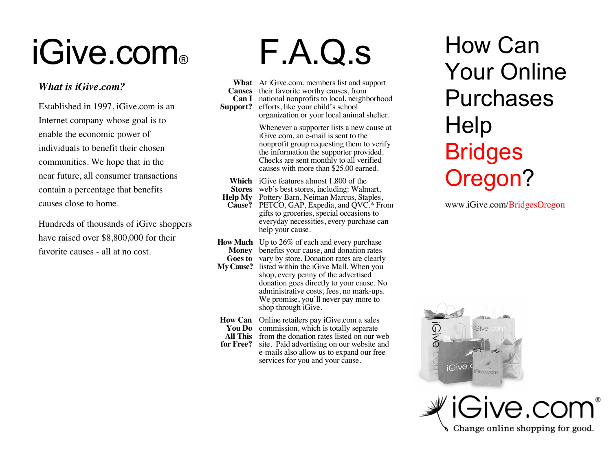# iGive.com®

#### *What is iGive.com?*

Established in 1997, iGive.com is an Internet company whose goal is to enable the economic power of individuals to benefit their chosen communities. We hope that in the near future, all consumer transactions contain a percentage that benefits causes close to home.

Hundreds of thousands of iGive shoppers have raised over \$8,800,000 for their favorite causes - all at no cost.

## F.A.Q.s

**What** At iGive.com, members list and support **Causes** their favorite worthy causes, from **Can I** national nonprofits to local, neighborhood **Support?** efforts, like your child's school organization or your local animal shelter.

> Whenever a supporter lists a new cause at iGive.com, an e-mail is sent to the nonprofit group requesting them to verify the information the supporter provided. Checks are sent monthly to all verified causes with more than \$25.00 earned.

- **Which** iGive features almost 1,800 of the
- **Stores** web's best stores, including: Walmart,
- **Help My** Pottery Barn, Neiman Marcus, Staples, **Cause?** PETCO, GAP, Expedia, and QVC.\* From gifts to groceries, special occasions to everyday necessities, every purchase can help your cause.
- **How Much** Up to 26% of each and every purchase **Money** benefits your cause, and donation rates Goes to vary by store. Donation rates are clearly **My Cause?** listed within the iGive Mall. When you

shop, every penny of the advertised donation goes directly to your cause. No administrative costs, fees, no mark-ups. We promise, you'll never pay more to shop through iGive.

**How Can** Online retailers pay iGive.com a sales

**You Do** commission, which is totally separate **All This** from the donation rates listed on our web **for Free?** site. Paid advertising on our website and e-mails also allow us to expand our free services for you and your cause.

### How Can Your Online Purchases **Help Bridges** Oregon?

www.iGive.com/BridgesOregon